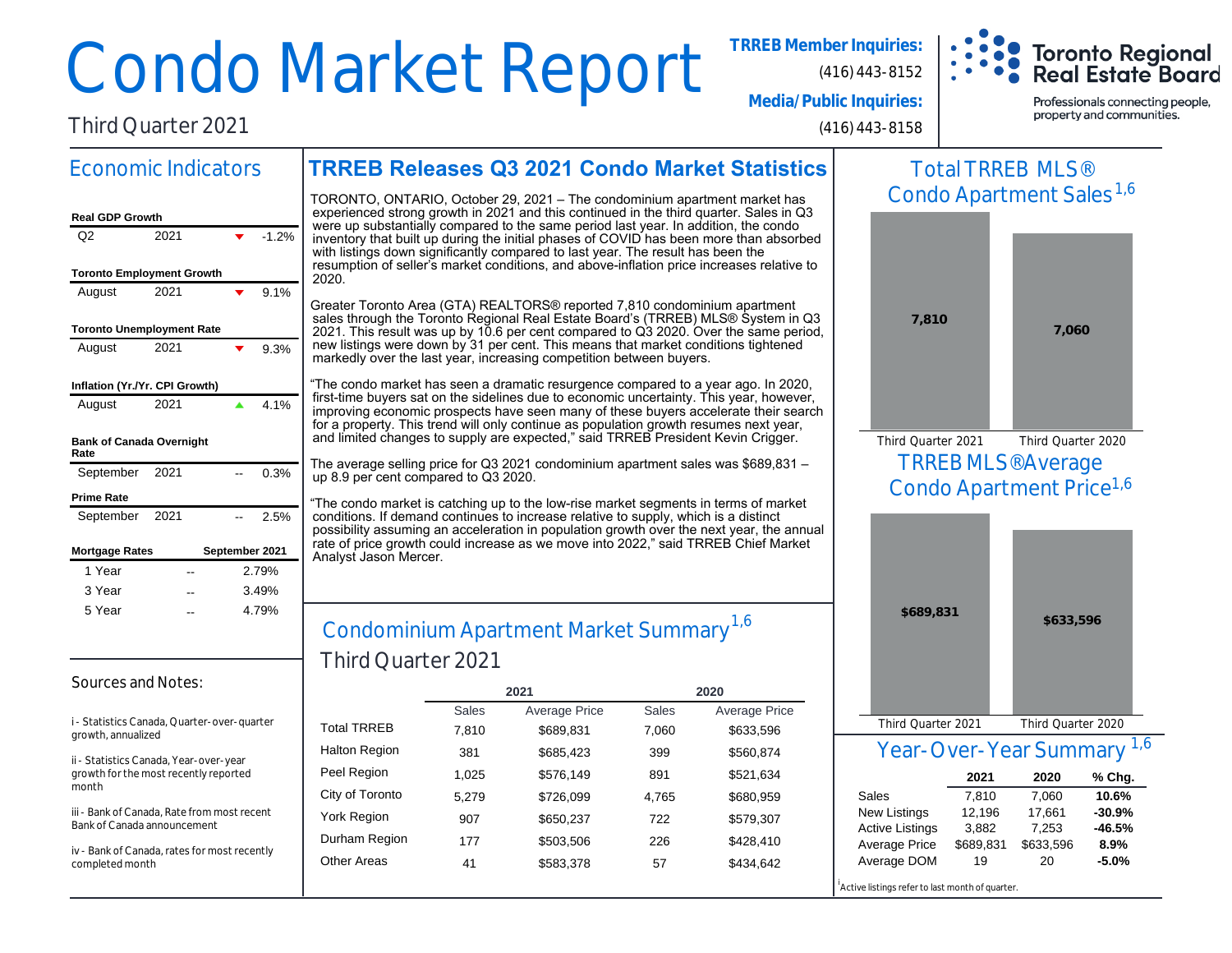# Condo Market Report **TRREB Member Inquiries:**

**Toronto Regional Real Estate Board** 

**Media/Public Inquiries:**

Third Quarter 2021

(416) 443-8158

(416) 443-8152

Professionals connecting people, property and communities.

#### **TRREB Releases Q3 2021 Condo Market Statistics** Economic Indicators

| <b>Real GDP Growth</b>                  |      |  |         |  |  |  |  |  |
|-----------------------------------------|------|--|---------|--|--|--|--|--|
| Q2                                      | 2021 |  | $-1.2%$ |  |  |  |  |  |
| <b>Toronto Employment Growth</b>        |      |  |         |  |  |  |  |  |
| August                                  | 2021 |  | 9.1%    |  |  |  |  |  |
| <b>Toronto Unemployment Rate</b>        |      |  |         |  |  |  |  |  |
| August                                  | 2021 |  | 9.3%    |  |  |  |  |  |
| Inflation (Yr./Yr. CPI Growth)          |      |  |         |  |  |  |  |  |
| August                                  | 2021 |  | 4.1%    |  |  |  |  |  |
| <b>Bank of Canada Overnight</b><br>Rate |      |  |         |  |  |  |  |  |
| September 2021                          |      |  | 0.3%    |  |  |  |  |  |
| <b>Prime Rate</b>                       |      |  |         |  |  |  |  |  |
| September 2021                          |      |  | 2.5%    |  |  |  |  |  |
| September 2021<br><b>Mortgage Rates</b> |      |  |         |  |  |  |  |  |
| 1 Year                                  |      |  | 2.79%   |  |  |  |  |  |
| 3 Year                                  |      |  | 3.49%   |  |  |  |  |  |
| 5 Year                                  |      |  | 4.79%   |  |  |  |  |  |

TORONTO, ONTARIO, October 29, 2021 – The condominium apartment market has experienced strong growth in 2021 and this continued in the third quarter. Sales in Q3 were up substantially compared to the same period last year. In addition, the condo inventory that built up during the initial phases of COVID has been more than absorbed with listings down significantly compared to last year. The result has been the resumption of seller's market conditions, and above-inflation price increases relative to 2020.

Greater Toronto Area (GTA) REALTORS® reported 7,810 condominium apartment sales through the Toronto Regional Real Estate Board's (TRREB) MLS® System in Q3 2021. This result was up by 10.6 per cent compared to Q3 2020. Over the same period, new listings were down by 31 per cent. This means that market conditions tightened markedly over the last year, increasing competition between buyers.

"The condo market has seen a dramatic resurgence compared to a year ago. In 2020, first-time buyers sat on the sidelines due to economic uncertainty. This year, however, improving economic prospects have seen many of these buyers accelerate their search for a property. This trend will only continue as population growth resumes next year, and limited changes to supply are expected," said TRREB President Kevin Crigger.

The average selling price for Q3 2021 condominium apartment sales was \$689,831 – up 8.9 per cent compared to Q3 2020.

"The condo market is catching up to the low-rise market segments in terms of market conditions. If demand continues to increase relative to supply, which is a distinct possibility assuming an acceleration in population growth over the next year, the annual rate of price growth could increase as we move into 2022," said TRREB Chief Market Analyst Jason Mercer.

#### Condominium Apartment Market Summary Third Quarter 2021  $-$  4.79%  $\Bigg|$  Condominium Apartment Market Summary  $^{1,6}$

#### Sources and Notes:

i - Statistics Canada, Quarter-over-quarter growth, annualized

ii - Statistics Canada, Year-over-year growth for the most recently reported month

iii - Bank of Canada, Rate from most recent Bank of Canada announcement

iv - Bank of Canada, rates for most recently completed month

|              |               | 2020         |               |  |
|--------------|---------------|--------------|---------------|--|
| <b>Sales</b> | Average Price | <b>Sales</b> | Average Price |  |
| 7,810        | \$689,831     | 7,060        | \$633,596     |  |
| 381          | \$685,423     | 399          | \$560,874     |  |
| 1,025        | \$576,149     | 891          | \$521,634     |  |
| 5,279        | \$726,099     | 4,765        | \$680,959     |  |
| 907          | \$650,237     | 722          | \$579,307     |  |
| 177          | \$503,506     | 226          | \$428,410     |  |
| 41           | \$583,378     | 57           | \$434,642     |  |
|              |               | 2021         |               |  |

## Total TRREB MLS® Condo Apartment Sales<sup>1,6</sup>



TRREB MLS® Average Condo Apartment Price<sup>1,6</sup> Third Quarter 2021 Third Quarter 2020



#### Year-Over-Year Summary 1,6

|                        | 2021      | 2020      | % Chg.   |
|------------------------|-----------|-----------|----------|
| Sales                  | 7.810     | 7,060     | 10.6%    |
| <b>New Listings</b>    | 12,196    | 17.661    | $-30.9%$ |
| <b>Active Listings</b> | 3,882     | 7,253     | $-46.5%$ |
| Average Price          | \$689,831 | \$633,596 | 8.9%     |
| Average DOM            | 19        | 20        | $-5.0%$  |

Active listings refer to last month of quarter.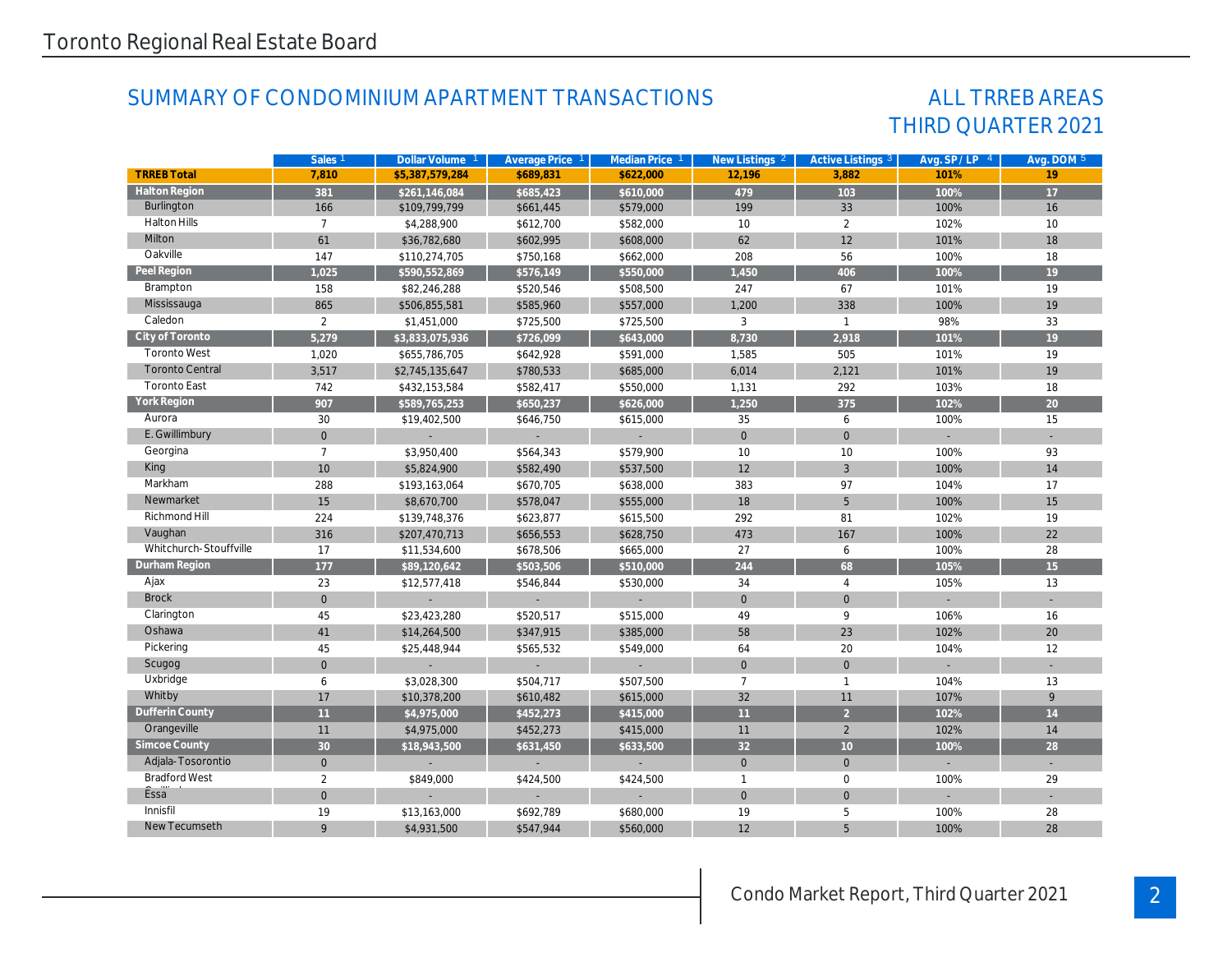### SUMMARY OF CONDOMINIUM APARTMENT TRANSACTIONS

### THIRD QUARTER 2021 ALL TRREB AREAS

|                        | Sales <sub>1</sub> | Dollar Volume 1 | Average Price 1 | Median Price 1 | New Listings 2 | Active Listings 3   | Avg. SP/LP 4 | Avg. DOM 5 |
|------------------------|--------------------|-----------------|-----------------|----------------|----------------|---------------------|--------------|------------|
| <b>TRREB Total</b>     | 7.810              | \$5.387.579.284 | \$689.831       | \$622.000      | 12.196         | 3.882               | 101%         | 19         |
| <b>Halton Region</b>   | 381                | \$261,146,084   | \$685,423       | \$610,000      | 479            | 103                 | 100%         | 17         |
| Burlington             | 166                | \$109,799,799   | \$661,445       | \$579,000      | 199            | 33                  | 100%         | 16         |
| <b>Halton Hills</b>    | $\overline{7}$     | \$4,288,900     | \$612,700       | \$582,000      | 10             | $\overline{2}$      | 102%         | 10         |
| Milton                 | 61                 | \$36,782,680    | \$602,995       | \$608,000      | 62             | 12                  | 101%         | 18         |
| Oakville               | 147                | \$110,274,705   | \$750,168       | \$662,000      | 208            | 56                  | 100%         | 18         |
| Peel Region            | 1,025              | \$590,552,869   | \$576,149       | \$550,000      | 1,450          | 406                 | 100%         | 19         |
| Brampton               | 158                | \$82,246,288    | \$520,546       | \$508,500      | 247            | 67                  | 101%         | 19         |
| Mississauga            | 865                | \$506,855,581   | \$585,960       | \$557,000      | 1,200          | 338                 | 100%         | 19         |
| Caledon                | $\overline{2}$     | \$1,451,000     | \$725,500       | \$725,500      | 3              | $\mathbf{1}$        | 98%          | 33         |
| City of Toronto        | 5,279              | \$3,833,075,936 | \$726,099       | \$643,000      | 8,730          | 2,918               | 101%         | 19         |
| <b>Toronto West</b>    | 1,020              | \$655,786,705   | \$642,928       | \$591,000      | 1,585          | 505                 | 101%         | 19         |
| <b>Toronto Central</b> | 3,517              | \$2,745,135,647 | \$780,533       | \$685,000      | 6,014          | 2,121               | 101%         | 19         |
| <b>Toronto East</b>    | 742                | \$432,153,584   | \$582,417       | \$550,000      | 1.131          | 292                 | 103%         | 18         |
| York Region            | 907                | \$589,765,253   | \$650,237       | \$626,000      | 1,250          | 375                 | 102%         | 20         |
| Aurora                 | 30                 | \$19,402,500    | \$646,750       | \$615,000      | 35             | 6                   | 100%         | 15         |
| E. Gwillimbury         | $\mathbf 0$        |                 |                 |                | $\mathbf 0$    | $\mathsf{O}\xspace$ |              |            |
| Georgina               | $\overline{7}$     | \$3,950,400     | \$564,343       | \$579,900      | 10             | 10                  | 100%         | 93         |
| King                   | 10                 | \$5,824,900     | \$582,490       | \$537,500      | 12             | $\overline{3}$      | 100%         | 14         |
| Markham                | 288                | \$193,163,064   | \$670,705       | \$638,000      | 383            | 97                  | 104%         | 17         |
| Newmarket              | 15                 | \$8,670,700     | \$578,047       | \$555,000      | 18             | 5                   | 100%         | 15         |
| Richmond Hill          | 224                | \$139,748,376   | \$623,877       | \$615,500      | 292            | 81                  | 102%         | 19         |
| Vaughan                | 316                | \$207,470,713   | \$656,553       | \$628,750      | 473            | 167                 | 100%         | 22         |
| Whitchurch-Stouffville | 17                 | \$11,534,600    | \$678,506       | \$665,000      | 27             | 6                   | 100%         | 28         |
| Durham Region          | 177                | \$89,120,642    | \$503,506       | \$510,000      | 244            | 68                  | 105%         | 15         |
| Ajax                   | 23                 | \$12,577,418    | \$546,844       | \$530,000      | 34             | $\overline{4}$      | 105%         | 13         |
| <b>Brock</b>           | $\mathbf{0}$       |                 |                 |                | $\Omega$       | $\overline{0}$      |              |            |
| Clarington             | 45                 | \$23,423,280    | \$520,517       | \$515,000      | 49             | 9                   | 106%         | 16         |
| Oshawa                 | 41                 | \$14,264,500    | \$347,915       | \$385,000      | 58             | 23                  | 102%         | 20         |
| Pickering              | 45                 | \$25,448,944    | \$565,532       | \$549,000      | 64             | 20                  | 104%         | 12         |
| Scugog                 | $\mathbf{0}$       |                 |                 |                | $\mathbf{0}$   | $\overline{0}$      |              |            |
| Uxbridge               | 6                  | \$3,028,300     | \$504,717       | \$507,500      | $\overline{7}$ | $\mathbf{1}$        | 104%         | 13         |
| Whitby                 | 17                 | \$10,378,200    | \$610,482       | \$615,000      | 32             | 11                  | 107%         | 9          |
| Dufferin County        | 11                 | \$4,975,000     | \$452,273       | \$415,000      | 11             | $\overline{2}$      | 102%         | 14         |
| Orangeville            | 11                 | \$4,975,000     | \$452,273       | \$415,000      | 11             | 2                   | 102%         | 14         |
| Simcoe County          | 30                 | \$18,943,500    | \$631,450       | \$633,500      | 32             | 10                  | 100%         | 28         |
| Adjala-Tosorontio      | $\mathbf{0}$       |                 |                 |                | $\mathbf{0}$   | $\overline{0}$      |              |            |
| <b>Bradford West</b>   | $\overline{2}$     | \$849,000       | \$424,500       | \$424,500      | $\mathbf{1}$   | $\mathbf 0$         | 100%         | 29         |
| Essa                   | $\mathbf{0}$       |                 |                 |                | $\mathbf{0}$   | $\overline{0}$      |              |            |
| Innisfil               | 19                 | \$13,163,000    | \$692,789       | \$680,000      | 19             | 5                   | 100%         | 28         |
| New Tecumseth          | 9                  | \$4,931,500     | \$547,944       | \$560,000      | 12             | 5                   | 100%         | 28         |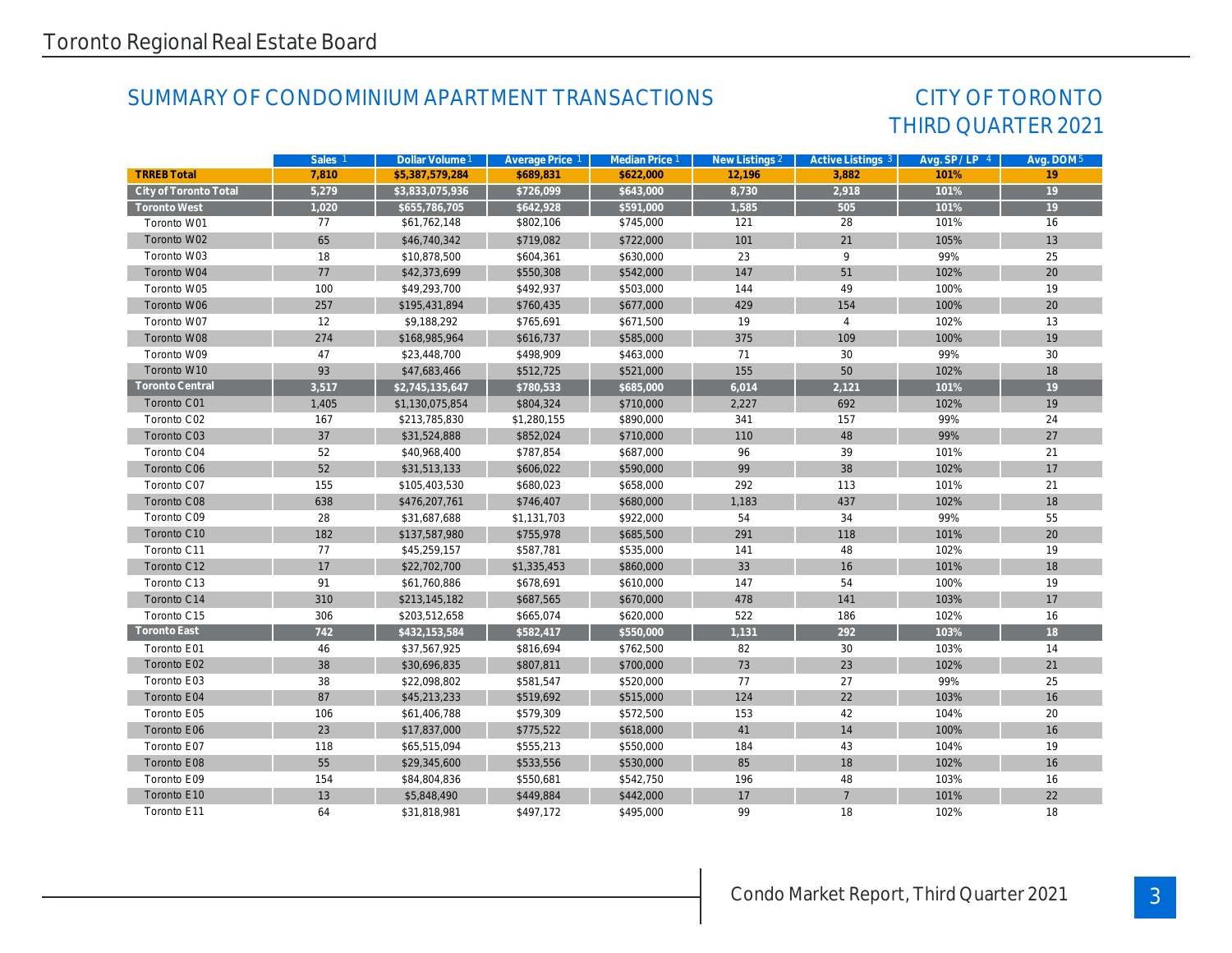### SUMMARY OF CONDOMINIUM APARTMENT TRANSACTIONS

### THIRD QUARTER 2021 CITY OF TORONTO

|                       | Sales <sub>1</sub> | Dollar Volume 1 | Average Price 1 | Median Price 1 | New Listings 2 | Active Listings 3 | Avg. $SP / LP 4$ | Avg. DOM 5      |
|-----------------------|--------------------|-----------------|-----------------|----------------|----------------|-------------------|------------------|-----------------|
| <b>TRREB Total</b>    | 7.810              | \$5,387,579,284 | \$689.831       | \$622,000      | 12.196         | 3.882             | 101%             | 19              |
| City of Toronto Total | 5,279              | \$3,833,075,936 | \$726,099       | \$643,000      | 8,730          | 2,918             | 101%             | $\overline{19}$ |
| <b>Toronto West</b>   | 1,020              | \$655,786,705   | \$642,928       | \$591,000      | 1,585          | 505               | 101%             | $\overline{19}$ |
| Toronto W01           | 77                 | \$61,762,148    | \$802,106       | \$745,000      | 121            | 28                | 101%             | 16              |
| Toronto W02           | 65                 | \$46,740,342    | \$719,082       | \$722,000      | 101            | 21                | 105%             | 13              |
| Toronto W03           | 18                 | \$10,878,500    | \$604,361       | \$630,000      | 23             | 9                 | 99%              | 25              |
| Toronto W04           | 77                 | \$42,373,699    | \$550,308       | \$542,000      | 147            | 51                | 102%             | 20              |
| Toronto W05           | 100                | \$49,293,700    | \$492,937       | \$503,000      | 144            | 49                | 100%             | 19              |
| Toronto W06           | 257                | \$195,431,894   | \$760,435       | \$677,000      | 429            | 154               | 100%             | 20              |
| Toronto W07           | 12                 | \$9,188,292     | \$765,691       | \$671,500      | 19             | $\overline{4}$    | 102%             | 13              |
| Toronto W08           | 274                | \$168,985,964   | \$616,737       | \$585,000      | 375            | 109               | 100%             | 19              |
| Toronto W09           | 47                 | \$23,448,700    | \$498,909       | \$463,000      | 71             | 30                | 99%              | 30              |
| Toronto W10           | 93                 | \$47,683,466    | \$512,725       | \$521,000      | 155            | 50                | 102%             | 18              |
| Toronto Central       | 3,517              | \$2,745,135,647 | \$780,533       | \$685,000      | 6,014          | 2,121             | 101%             | 19              |
| Toronto C01           | 1,405              | \$1,130,075,854 | \$804,324       | \$710,000      | 2,227          | 692               | 102%             | 19              |
| Toronto C02           | 167                | \$213,785,830   | \$1,280,155     | \$890,000      | 341            | 157               | 99%              | 24              |
| Toronto C03           | 37                 | \$31,524,888    | \$852,024       | \$710,000      | 110            | 48                | 99%              | 27              |
| Toronto C04           | 52                 | \$40,968,400    | \$787,854       | \$687,000      | 96             | 39                | 101%             | 21              |
| Toronto C06           | 52                 | \$31,513,133    | \$606,022       | \$590,000      | 99             | 38                | 102%             | 17              |
| Toronto C07           | 155                | \$105,403,530   | \$680,023       | \$658,000      | 292            | 113               | 101%             | 21              |
| Toronto C08           | 638                | \$476,207,761   | \$746,407       | \$680,000      | 1,183          | 437               | 102%             | 18              |
| Toronto C09           | 28                 | \$31,687,688    | \$1,131,703     | \$922,000      | 54             | 34                | 99%              | 55              |
| Toronto C10           | 182                | \$137,587,980   | \$755,978       | \$685,500      | 291            | 118               | 101%             | 20              |
| Toronto C11           | 77                 | \$45,259,157    | \$587,781       | \$535,000      | 141            | 48                | 102%             | 19              |
| Toronto C12           | 17                 | \$22,702,700    | \$1,335,453     | \$860,000      | 33             | 16                | 101%             | 18              |
| Toronto C13           | 91                 | \$61,760,886    | \$678,691       | \$610,000      | 147            | 54                | 100%             | 19              |
| Toronto C14           | 310                | \$213,145,182   | \$687,565       | \$670,000      | 478            | 141               | 103%             | 17              |
| Toronto C15           | 306                | \$203,512,658   | \$665,074       | \$620,000      | 522            | 186               | 102%             | 16              |
| Toronto East          | 742                | \$432,153,584   | \$582,417       | \$550,000      | 1,131          | 292               | 103%             | 18              |
| Toronto E01           | 46                 | \$37,567,925    | \$816,694       | \$762,500      | 82             | 30                | 103%             | 14              |
| Toronto E02           | 38                 | \$30,696,835    | \$807,811       | \$700,000      | 73             | 23                | 102%             | 21              |
| Toronto E03           | 38                 | \$22,098,802    | \$581,547       | \$520,000      | 77             | 27                | 99%              | 25              |
| Toronto E04           | 87                 | \$45,213,233    | \$519,692       | \$515,000      | 124            | 22                | 103%             | 16              |
| Toronto E05           | 106                | \$61,406,788    | \$579,309       | \$572,500      | 153            | 42                | 104%             | 20              |
| Toronto E06           | 23                 | \$17,837,000    | \$775,522       | \$618,000      | 41             | 14                | 100%             | 16              |
| Toronto E07           | 118                | \$65,515,094    | \$555,213       | \$550,000      | 184            | 43                | 104%             | 19              |
| Toronto E08           | 55                 | \$29,345,600    | \$533,556       | \$530,000      | 85             | 18                | 102%             | 16              |
| Toronto E09           | 154                | \$84,804,836    | \$550,681       | \$542,750      | 196            | 48                | 103%             | 16              |
| Toronto E10           | 13                 | \$5,848,490     | \$449,884       | \$442,000      | 17             | $7\overline{ }$   | 101%             | 22              |
| Toronto E11           | 64                 | \$31,818,981    | \$497,172       | \$495,000      | 99             | 18                | 102%             | 18              |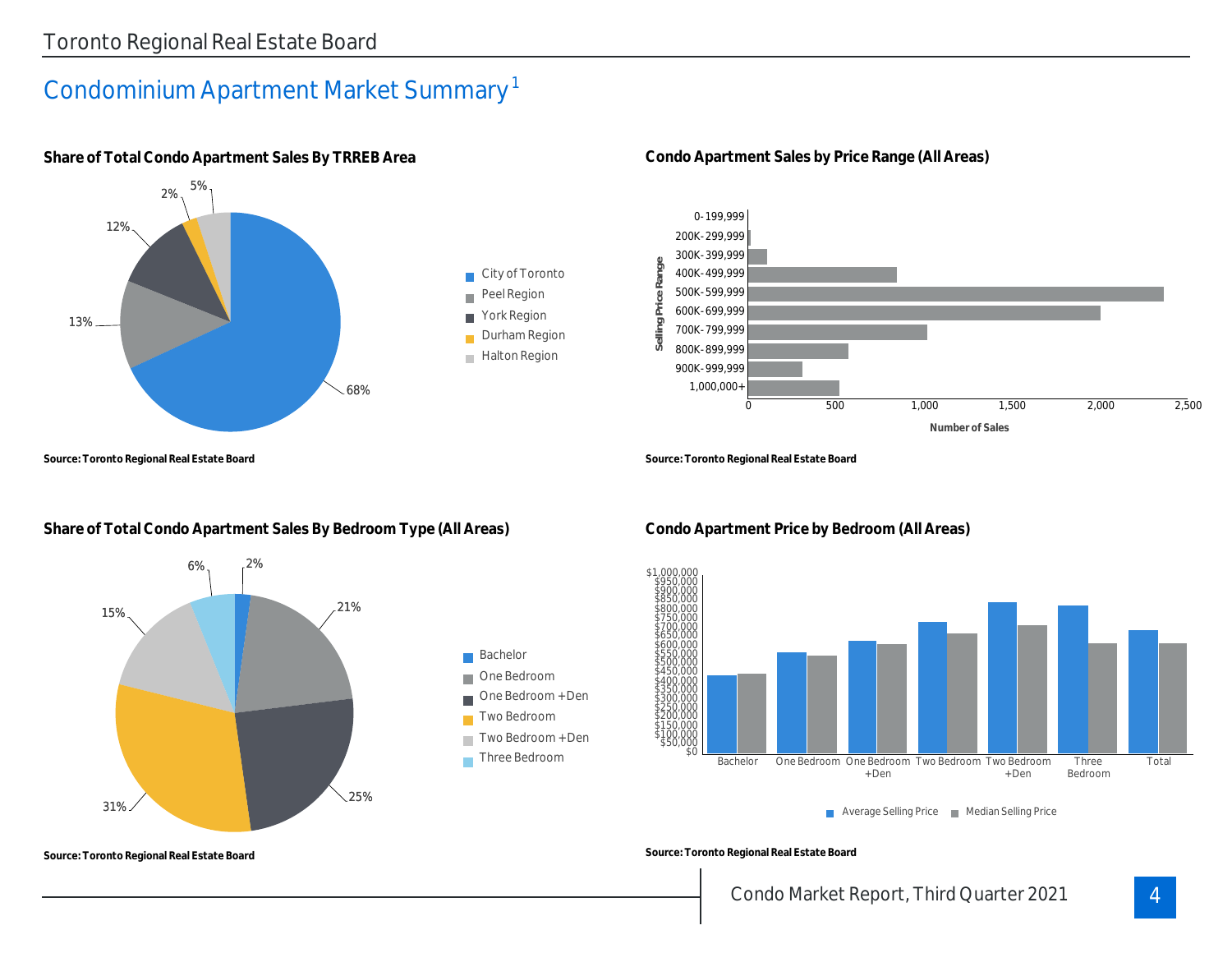### Condominium Apartment Market Summary 1



**Share of Total Condo Apartment Sales By TRREB Area**

**Source: Toronto Regional Real Estate Board**

#### **Share of Total Condo Apartment Sales By Bedroom Type (All Areas)**



**Condo Apartment Sales by Price Range (All Areas)**



**Source: Toronto Regional Real Estate Board**



Average Selling Price Median Selling Price

**Source: Toronto Regional Real Estate Board**

### **Condo Apartment Price by Bedroom (All Areas)**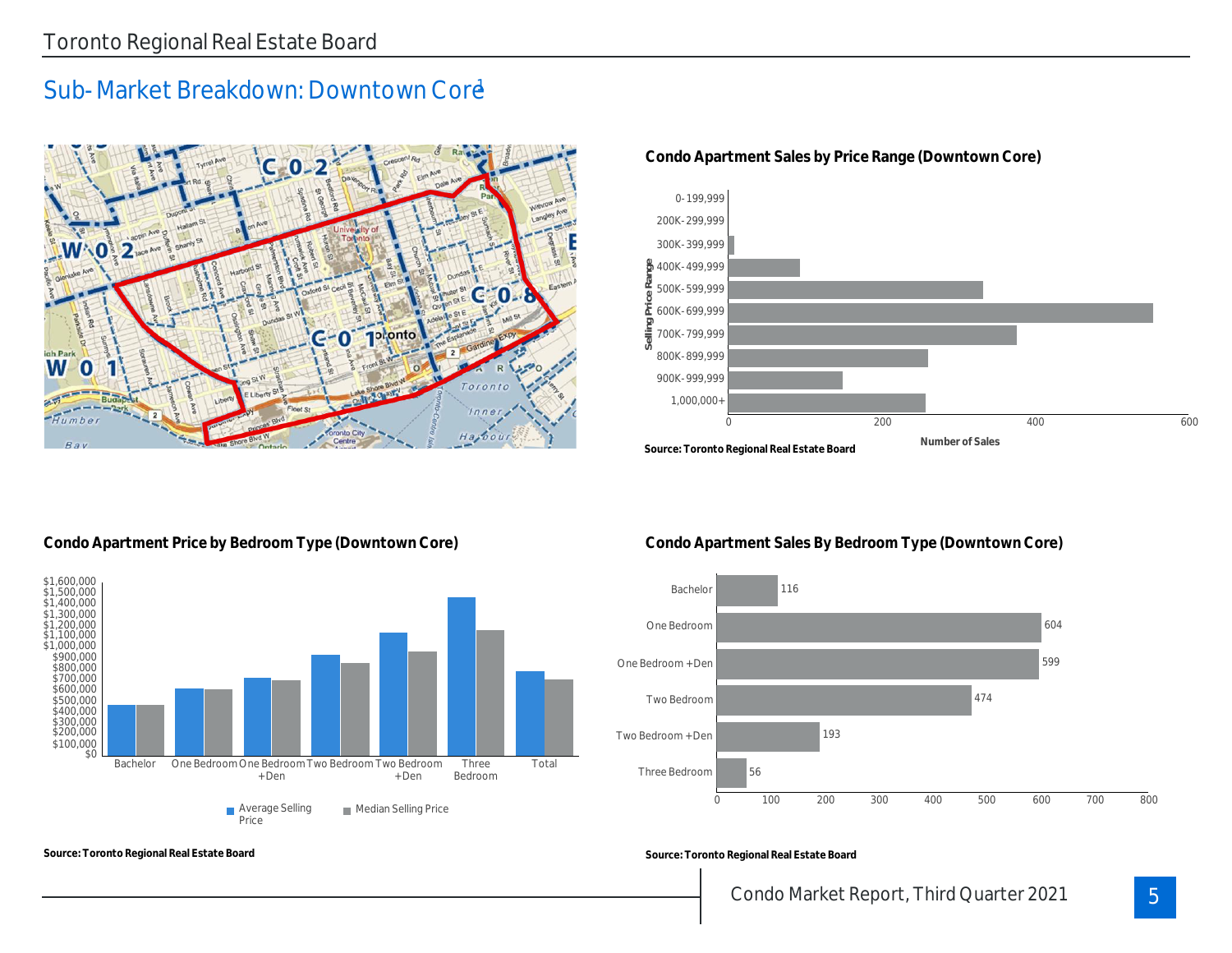### Sub-Market Breakdown: Downtown Core



#### **Condo Apartment Sales by Price Range (Downtown Core)**



#### **Condo Apartment Price by Bedroom Type (Downtown Core)**

**Source: Toronto Regional Real Estate Board**



**Condo Apartment Sales By Bedroom Type (Downtown Core)**



**Source: Toronto Regional Real Estate Board**

### Condo Market Report, Third Quarter 2021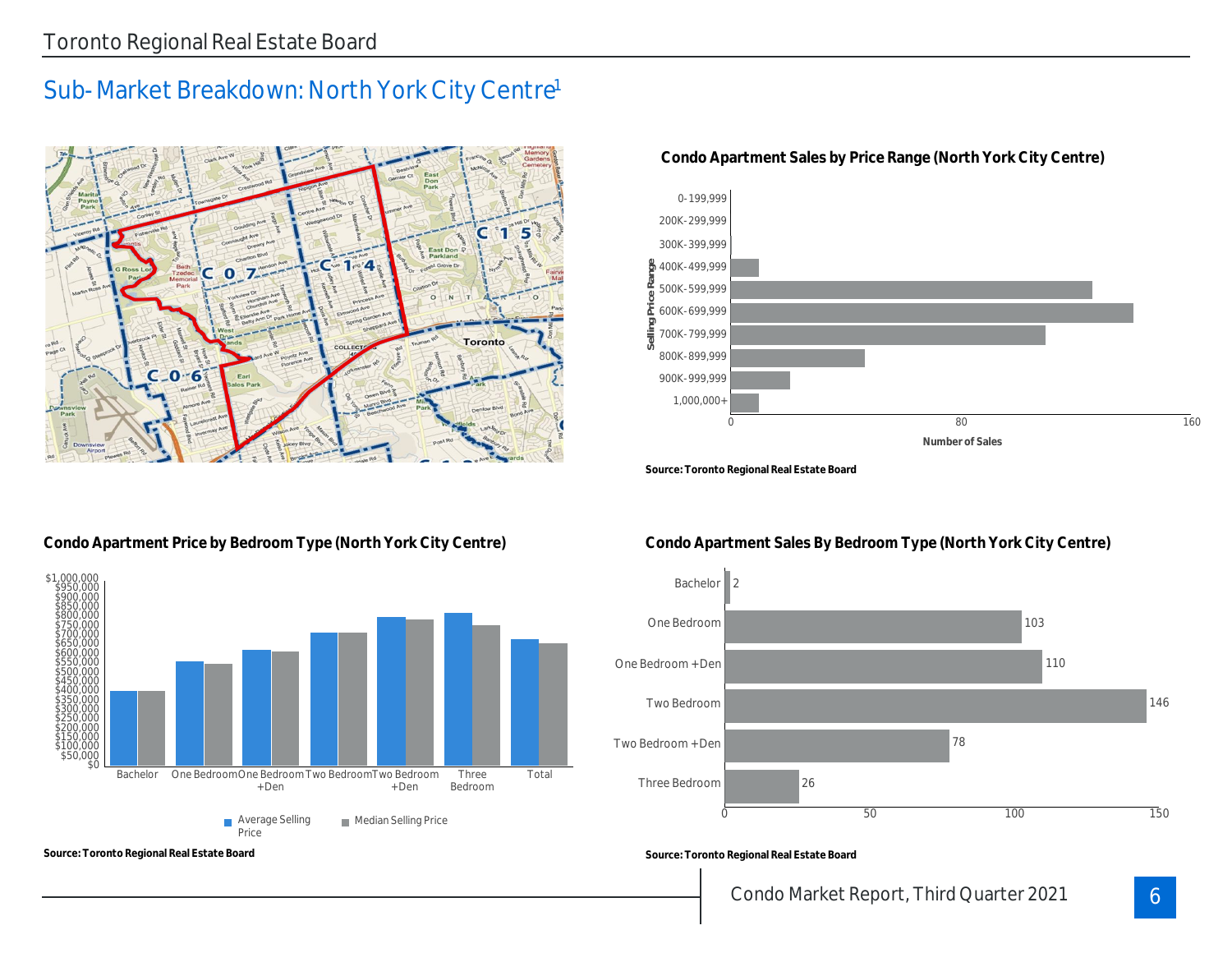### Sub-Market Breakdown: North York City Centre<sup>1</sup>



#### 0-199,999 200K-299,999 300K-399,999 400K-499,999 **Selling Price Range** ò 500K-599,999 600K-699,999 ≡ 700K-799,999 800K-899,999 900K-999,999 1,000,000+ 0 0  $\sqrt{3}$  80  $\sqrt{3}$  80  $\sqrt{160}$  160

**Number of Sales**

#### **Condo Apartment Sales by Price Range (North York City Centre)**

**Source: Toronto Regional Real Estate Board**

#### **Condo Apartment Price by Bedroom Type (North York City Centre)**



**Source: Toronto Regional Real Estate Board**

#### **Condo Apartment Sales By Bedroom Type (North York City Centre)**



**Source: Toronto Regional Real Estate Board**

### Condo Market Report, Third Quarter 2021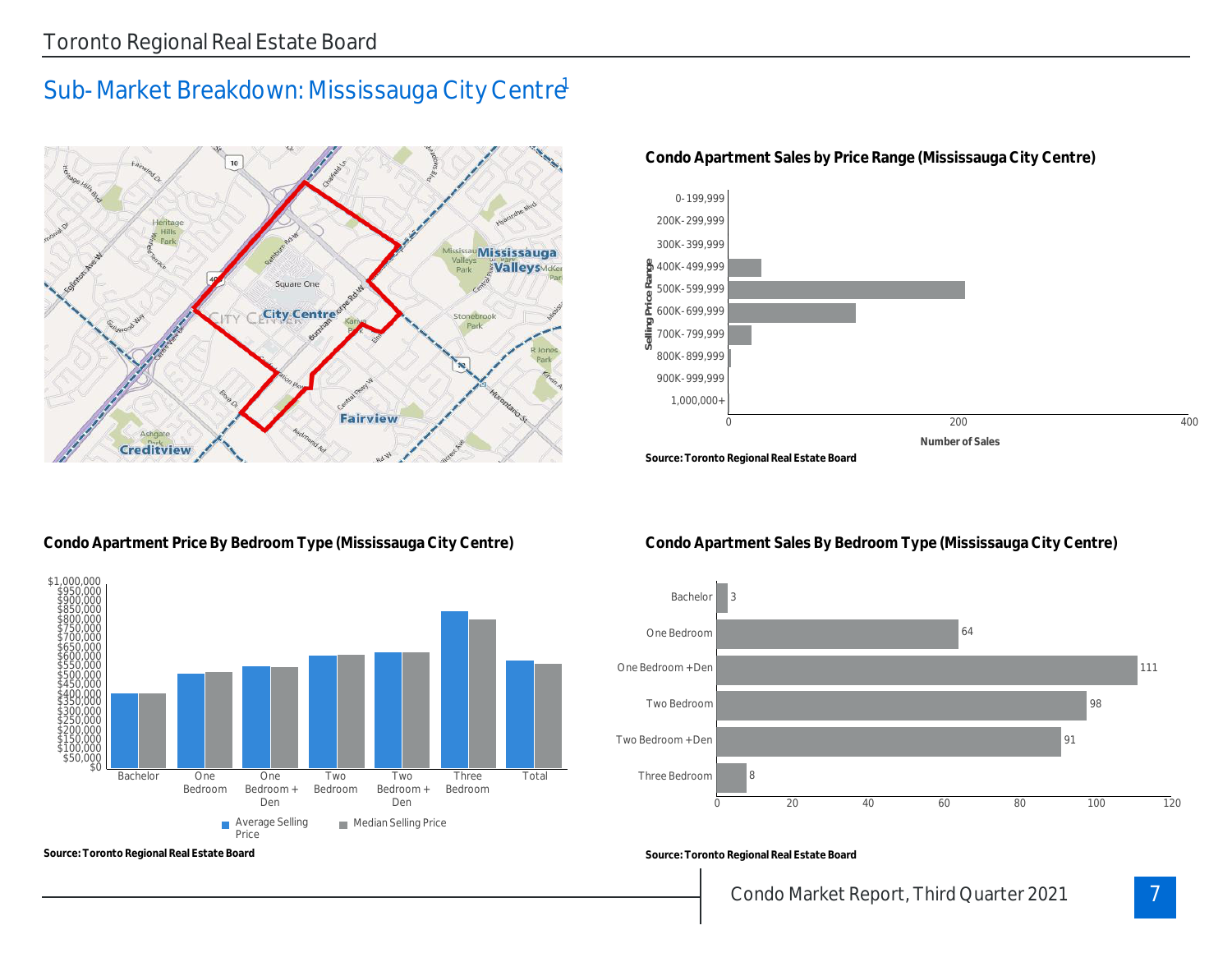### Sub-Market Breakdown: Mississauga City Centre



#### **Condo Apartment Sales by Price Range (Mississauga City Centre)**



#### **Condo Apartment Price By Bedroom Type (Mississauga City Centre)**



**Source: Toronto Regional Real Estate Board**

#### **Condo Apartment Sales By Bedroom Type (Mississauga City Centre)**



**Source: Toronto Regional Real Estate Board**

### Condo Market Report, Third Quarter 2021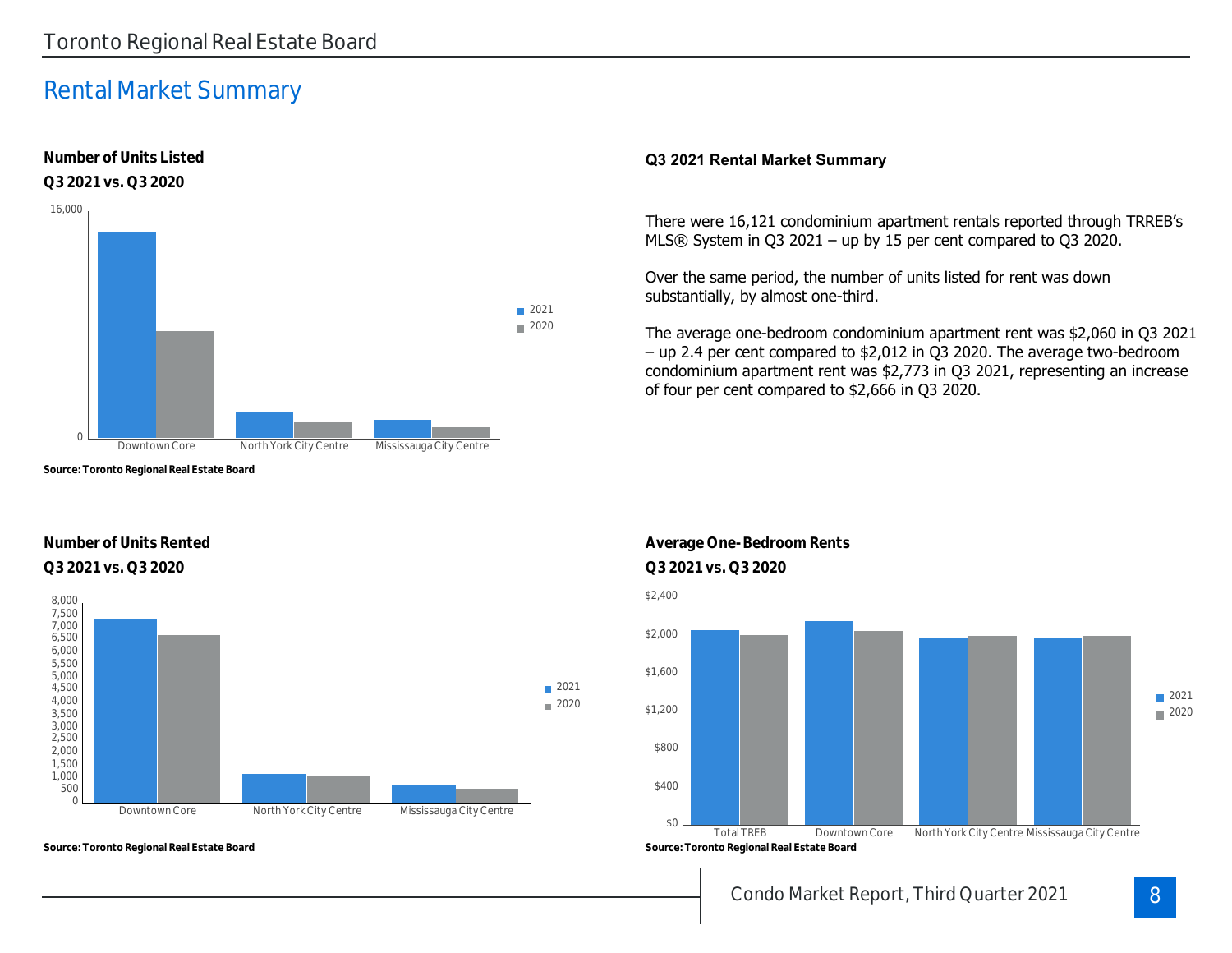### Rental Market Summary

**Number of Units Listed**



**Source: Toronto Regional Real Estate Board**

#### **Number of Units Rented Q3 2021 vs. Q3 2020 Q3 2021 vs. Q3 2020**



**Source: Toronto Regional Real Estate Board**

#### **Q3 2021 Rental Market Summary**

There were 16,121 condominium apartment rentals reported through TRREB's MLS® System in Q3 2021 – up by 15 per cent compared to Q3 2020.

Over the same period, the number of units listed for rent was down substantially, by almost one-third.

The average one-bedroom condominium apartment rent was \$2,060 in Q3 2021 – up 2.4 per cent compared to \$2,012 in Q3 2020. The average two-bedroom condominium apartment rent was \$2,773 in Q3 2021, representing an increase of four per cent compared to \$2,666 in Q3 2020.



### **Average One-Bedroom Rents**

Condo Market Report, Third Quarter 2021